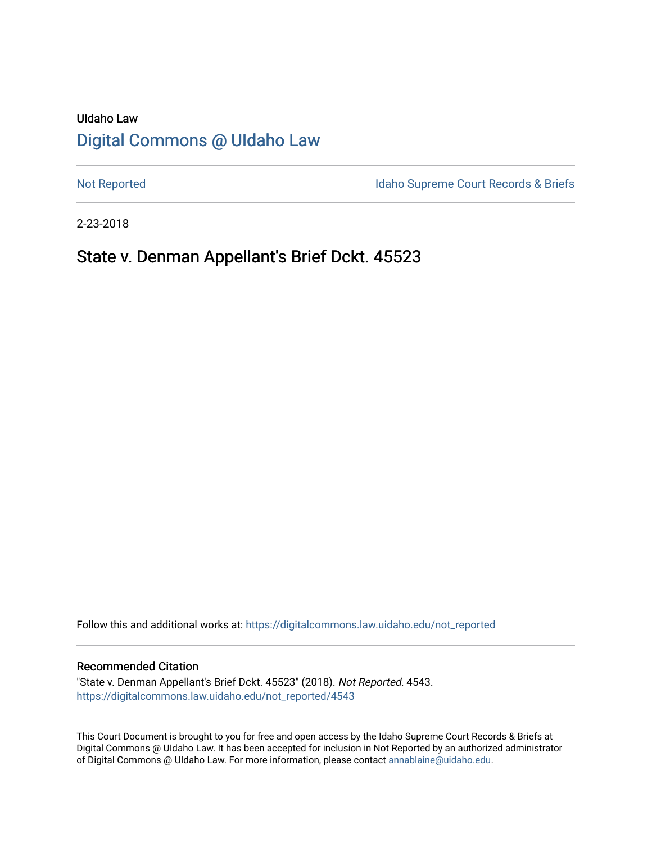# UIdaho Law [Digital Commons @ UIdaho Law](https://digitalcommons.law.uidaho.edu/)

[Not Reported](https://digitalcommons.law.uidaho.edu/not_reported) **Idaho Supreme Court Records & Briefs** 

2-23-2018

# State v. Denman Appellant's Brief Dckt. 45523

Follow this and additional works at: [https://digitalcommons.law.uidaho.edu/not\\_reported](https://digitalcommons.law.uidaho.edu/not_reported?utm_source=digitalcommons.law.uidaho.edu%2Fnot_reported%2F4543&utm_medium=PDF&utm_campaign=PDFCoverPages) 

#### Recommended Citation

"State v. Denman Appellant's Brief Dckt. 45523" (2018). Not Reported. 4543. [https://digitalcommons.law.uidaho.edu/not\\_reported/4543](https://digitalcommons.law.uidaho.edu/not_reported/4543?utm_source=digitalcommons.law.uidaho.edu%2Fnot_reported%2F4543&utm_medium=PDF&utm_campaign=PDFCoverPages)

This Court Document is brought to you for free and open access by the Idaho Supreme Court Records & Briefs at Digital Commons @ UIdaho Law. It has been accepted for inclusion in Not Reported by an authorized administrator of Digital Commons @ UIdaho Law. For more information, please contact [annablaine@uidaho.edu](mailto:annablaine@uidaho.edu).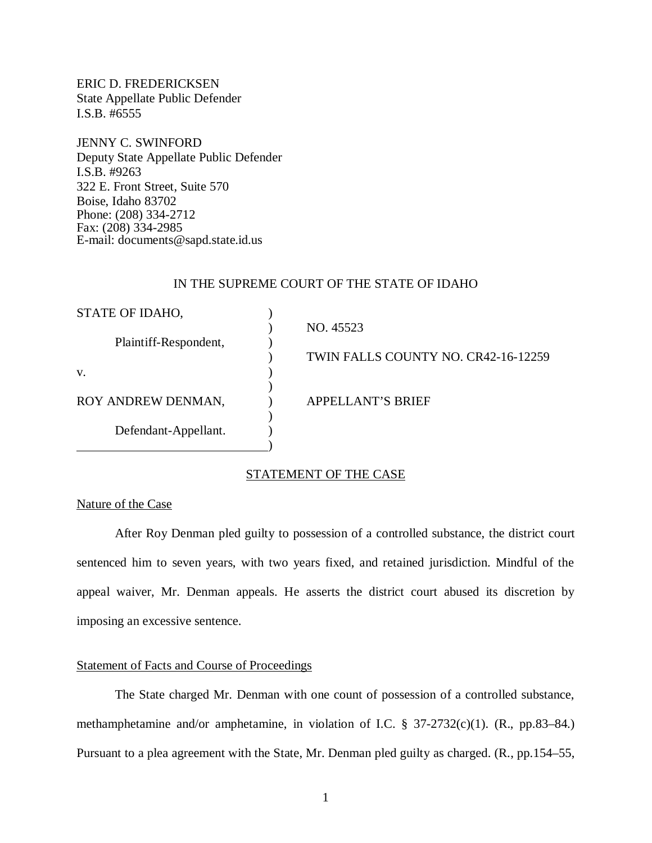ERIC D. FREDERICKSEN State Appellate Public Defender I.S.B. #6555

JENNY C. SWINFORD Deputy State Appellate Public Defender I.S.B. #9263 322 E. Front Street, Suite 570 Boise, Idaho 83702 Phone: (208) 334-2712 Fax: (208) 334-2985 E-mail: documents@sapd.state.id.us

#### IN THE SUPREME COURT OF THE STATE OF IDAHO

| STATE OF IDAHO,       |                                     |
|-----------------------|-------------------------------------|
|                       | NO. 45523                           |
| Plaintiff-Respondent, |                                     |
|                       | TWIN FALLS COUNTY NO. CR42-16-12259 |
| V.                    |                                     |
|                       |                                     |
| ROY ANDREW DENMAN,    | APPELLANT'S BRIEF                   |
|                       |                                     |
| Defendant-Appellant.  |                                     |
|                       |                                     |

#### STATEMENT OF THE CASE

## Nature of the Case

After Roy Denman pled guilty to possession of a controlled substance, the district court sentenced him to seven years, with two years fixed, and retained jurisdiction. Mindful of the appeal waiver, Mr. Denman appeals. He asserts the district court abused its discretion by imposing an excessive sentence.

### Statement of Facts and Course of Proceedings

The State charged Mr. Denman with one count of possession of a controlled substance, methamphetamine and/or amphetamine, in violation of I.C. § 37-2732(c)(1). (R., pp.83–84.) Pursuant to a plea agreement with the State, Mr. Denman pled guilty as charged. (R., pp.154–55,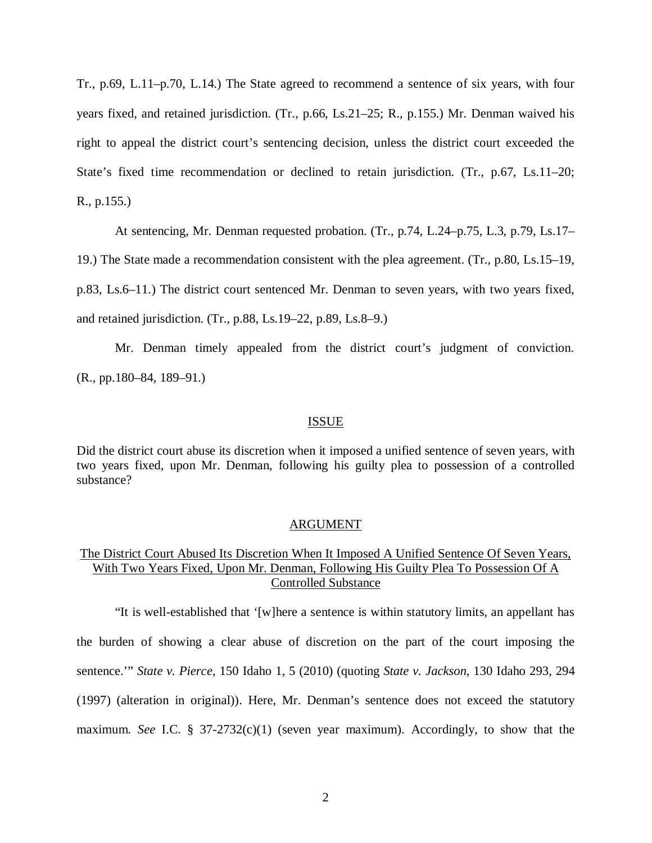Tr., p.69, L.11–p.70, L.14.) The State agreed to recommend a sentence of six years, with four years fixed, and retained jurisdiction. (Tr., p.66, Ls.21–25; R., p.155.) Mr. Denman waived his right to appeal the district court's sentencing decision, unless the district court exceeded the State's fixed time recommendation or declined to retain jurisdiction. (Tr., p.67, Ls.11–20; R., p.155.)

At sentencing, Mr. Denman requested probation. (Tr., p.74, L.24–p.75, L.3, p.79, Ls.17–

19.) The State made a recommendation consistent with the plea agreement. (Tr., p.80, Ls.15–19,

p.83, Ls.6–11.) The district court sentenced Mr. Denman to seven years, with two years fixed,

and retained jurisdiction. (Tr., p.88, Ls.19–22, p.89, Ls.8–9.)

Mr. Denman timely appealed from the district court's judgment of conviction. (R., pp.180–84, 189–91.)

#### **ISSUE**

Did the district court abuse its discretion when it imposed a unified sentence of seven years, with two years fixed, upon Mr. Denman, following his guilty plea to possession of a controlled substance?

#### ARGUMENT

## The District Court Abused Its Discretion When It Imposed A Unified Sentence Of Seven Years, With Two Years Fixed, Upon Mr. Denman, Following His Guilty Plea To Possession Of A Controlled Substance

"It is well-established that '[w]here a sentence is within statutory limits, an appellant has the burden of showing a clear abuse of discretion on the part of the court imposing the sentence.'" *State v. Pierce*, 150 Idaho 1, 5 (2010) (quoting *State v. Jackson*, 130 Idaho 293, 294 (1997) (alteration in original)). Here, Mr. Denman's sentence does not exceed the statutory maximum. *See* I.C. § 37-2732(c)(1) (seven year maximum). Accordingly, to show that the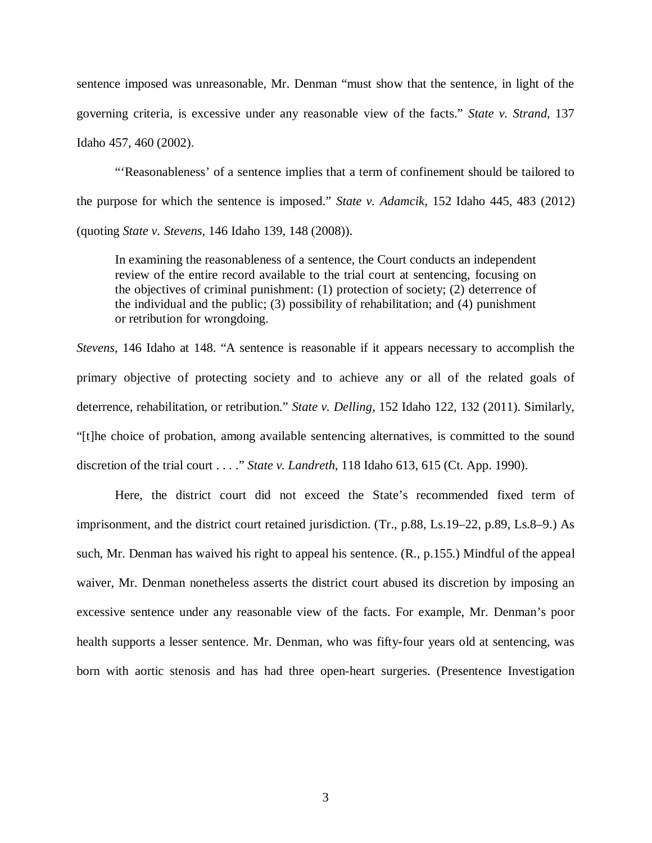sentence imposed was unreasonable, Mr. Denman "must show that the sentence, in light of the governing criteria, is excessive under any reasonable view of the facts." *State v. Strand*, 137 Idaho 457, 460 (2002).

"'Reasonableness' of a sentence implies that a term of confinement should be tailored to the purpose for which the sentence is imposed." *State v. Adamcik*, 152 Idaho 445, 483 (2012) (quoting *State v. Stevens*, 146 Idaho 139, 148 (2008)).

In examining the reasonableness of a sentence, the Court conducts an independent review of the entire record available to the trial court at sentencing, focusing on the objectives of criminal punishment: (1) protection of society; (2) deterrence of the individual and the public; (3) possibility of rehabilitation; and (4) punishment or retribution for wrongdoing.

*Stevens*, 146 Idaho at 148. "A sentence is reasonable if it appears necessary to accomplish the primary objective of protecting society and to achieve any or all of the related goals of deterrence, rehabilitation, or retribution." *State v. Delling*, 152 Idaho 122, 132 (2011). Similarly, "[t]he choice of probation, among available sentencing alternatives, is committed to the sound discretion of the trial court . . . ." *State v. Landreth*, 118 Idaho 613, 615 (Ct. App. 1990).

Here, the district court did not exceed the State's recommended fixed term of imprisonment, and the district court retained jurisdiction. (Tr., p.88, Ls.19–22, p.89, Ls.8–9.) As such, Mr. Denman has waived his right to appeal his sentence. (R., p.155.) Mindful of the appeal waiver, Mr. Denman nonetheless asserts the district court abused its discretion by imposing an excessive sentence under any reasonable view of the facts. For example, Mr. Denman's poor health supports a lesser sentence. Mr. Denman, who was fifty-four years old at sentencing, was born with aortic stenosis and has had three open-heart surgeries. (Presentence Investigation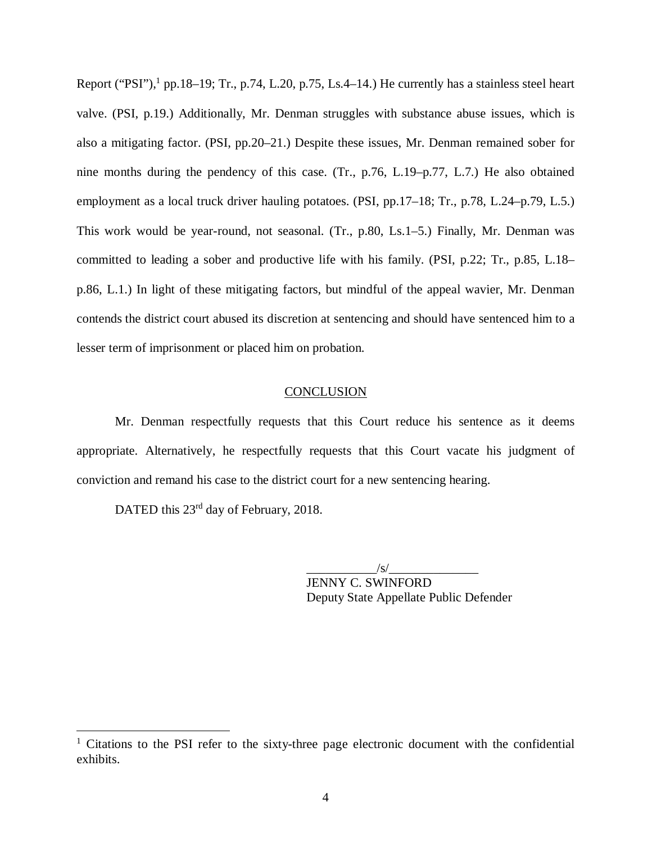Report ("PSI"), $<sup>1</sup>$  $<sup>1</sup>$  $<sup>1</sup>$  pp.18–19; Tr., p.74, L.20, p.75, Ls.4–14.) He currently has a stainless steel heart</sup> valve. (PSI, p.19.) Additionally, Mr. Denman struggles with substance abuse issues, which is also a mitigating factor. (PSI, pp.20–21.) Despite these issues, Mr. Denman remained sober for nine months during the pendency of this case. (Tr., p.76, L.19–p.77, L.7.) He also obtained employment as a local truck driver hauling potatoes. (PSI, pp.17–18; Tr., p.78, L.24–p.79, L.5.) This work would be year-round, not seasonal. (Tr., p.80, Ls.1–5.) Finally, Mr. Denman was committed to leading a sober and productive life with his family. (PSI, p.22; Tr., p.85, L.18– p.86, L.1.) In light of these mitigating factors, but mindful of the appeal wavier, Mr. Denman contends the district court abused its discretion at sentencing and should have sentenced him to a lesser term of imprisonment or placed him on probation.

### **CONCLUSION**

Mr. Denman respectfully requests that this Court reduce his sentence as it deems appropriate. Alternatively, he respectfully requests that this Court vacate his judgment of conviction and remand his case to the district court for a new sentencing hearing.

DATED this 23<sup>rd</sup> day of February, 2018.

 $\frac{1}{s}$ JENNY C. SWINFORD Deputy State Appellate Public Defender

<span id="page-4-0"></span><sup>&</sup>lt;sup>1</sup> Citations to the PSI refer to the sixty-three page electronic document with the confidential exhibits.